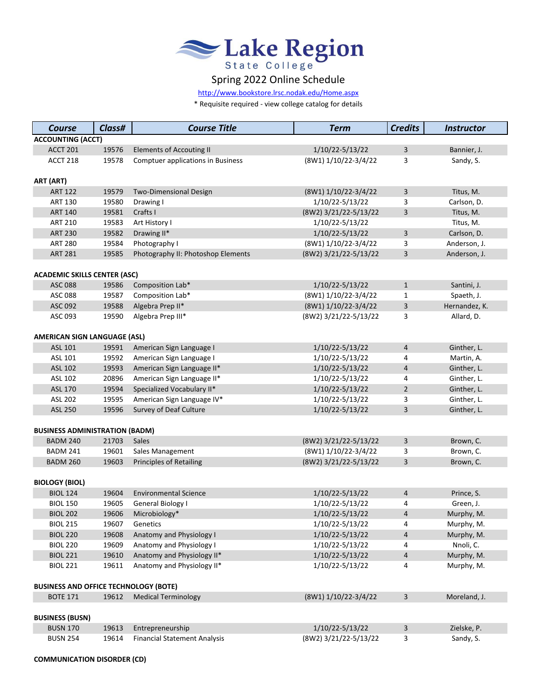

## Spring 2022 Online Schedule

[http://www.bookstore.lrsc.no](http://www.bookstore.lrsc.nodak.edu/Home.aspx)dak.edu/Home.aspx

\* Requisite required - view college catalog for details

| <b>Course</b>                                | Class#                   | <b>Course Title</b>                      | <b>Term</b>           | <b>Credits</b> | <b>Instructor</b> |  |  |
|----------------------------------------------|--------------------------|------------------------------------------|-----------------------|----------------|-------------------|--|--|
|                                              | <b>ACCOUNTING (ACCT)</b> |                                          |                       |                |                   |  |  |
| <b>ACCT 201</b>                              | 19576                    | <b>Elements of Accouting II</b>          | 1/10/22-5/13/22       | 3              | Bannier, J.       |  |  |
| ACCT 218                                     | 19578                    | <b>Comptuer applications in Business</b> | (8W1) 1/10/22-3/4/22  | 3              | Sandy, S.         |  |  |
|                                              |                          |                                          |                       |                |                   |  |  |
| ART (ART)                                    |                          |                                          |                       |                |                   |  |  |
| <b>ART 122</b>                               | 19579                    | <b>Two-Dimensional Design</b>            | (8W1) 1/10/22-3/4/22  | 3              | Titus, M.         |  |  |
| <b>ART 130</b>                               | 19580                    | Drawing I                                | 1/10/22-5/13/22       | 3              | Carlson, D.       |  |  |
| <b>ART 140</b>                               | 19581                    | Crafts I                                 | (8W2) 3/21/22-5/13/22 | 3              | Titus, M.         |  |  |
| <b>ART 210</b>                               | 19583                    | Art History I                            | 1/10/22-5/13/22       |                | Titus, M.         |  |  |
| <b>ART 230</b>                               | 19582                    | Drawing II*                              | 1/10/22-5/13/22       | 3              | Carlson, D.       |  |  |
| <b>ART 280</b>                               | 19584                    | Photography I                            | (8W1) 1/10/22-3/4/22  | 3              | Anderson, J.      |  |  |
| <b>ART 281</b>                               | 19585                    | Photography II: Photoshop Elements       | (8W2) 3/21/22-5/13/22 | 3              | Anderson, J.      |  |  |
| <b>ACADEMIC SKILLS CENTER (ASC)</b>          |                          |                                          |                       |                |                   |  |  |
| <b>ASC 088</b>                               | 19586                    | Composition Lab*                         | 1/10/22-5/13/22       | $\mathbf{1}$   | Santini, J.       |  |  |
| ASC 088                                      | 19587                    | Composition Lab*                         | (8W1) 1/10/22-3/4/22  | 1              | Spaeth, J.        |  |  |
| ASC 092                                      | 19588                    | Algebra Prep II*                         | (8W1) 1/10/22-3/4/22  | 3              | Hernandez, K.     |  |  |
| ASC 093                                      | 19590                    | Algebra Prep III*                        | (8W2) 3/21/22-5/13/22 | 3              | Allard, D.        |  |  |
|                                              |                          |                                          |                       |                |                   |  |  |
| <b>AMERICAN SIGN LANGUAGE (ASL)</b>          |                          |                                          |                       |                |                   |  |  |
| ASL 101                                      | 19591                    | American Sign Language I                 | 1/10/22-5/13/22       | 4              | Ginther, L.       |  |  |
| ASL 101                                      | 19592                    | American Sign Language I                 | 1/10/22-5/13/22       | 4              | Martin, A.        |  |  |
| <b>ASL 102</b>                               | 19593                    | American Sign Language II*               | 1/10/22-5/13/22       | 4              | Ginther, L.       |  |  |
| ASL 102                                      | 20896                    | American Sign Language II*               | 1/10/22-5/13/22       | 4              | Ginther, L.       |  |  |
| ASL 170                                      | 19594                    | Specialized Vocabulary II*               | 1/10/22-5/13/22       | $\overline{2}$ | Ginther, L.       |  |  |
| ASL 202                                      | 19595                    | American Sign Language IV*               | 1/10/22-5/13/22       | 3              | Ginther, L.       |  |  |
| <b>ASL 250</b>                               | 19596                    | Survey of Deaf Culture                   | 1/10/22-5/13/22       | 3              | Ginther, L.       |  |  |
|                                              |                          |                                          |                       |                |                   |  |  |
| <b>BUSINESS ADMINISTRATION (BADM)</b>        |                          |                                          |                       |                |                   |  |  |
| <b>BADM 240</b>                              | 21703                    | Sales                                    | (8W2) 3/21/22-5/13/22 | 3              | Brown, C.         |  |  |
| <b>BADM 241</b>                              | 19601                    | Sales Management                         | (8W1) 1/10/22-3/4/22  | 3              | Brown, C.         |  |  |
| <b>BADM 260</b>                              | 19603                    | <b>Principles of Retailing</b>           | (8W2) 3/21/22-5/13/22 | 3              | Brown, C.         |  |  |
|                                              |                          |                                          |                       |                |                   |  |  |
| <b>BIOLOGY (BIOL)</b><br><b>BIOL 124</b>     | 19604                    | <b>Environmental Science</b>             | 1/10/22-5/13/22       | 4              | Prince, S.        |  |  |
| <b>BIOL 150</b>                              | 19605                    | General Biology I                        | 1/10/22-5/13/22       | 4              | Green, J.         |  |  |
| <b>BIOL 202</b>                              | 19606                    | Microbiology*                            | 1/10/22-5/13/22       | 4              | Murphy, M.        |  |  |
| <b>BIOL 215</b>                              | 19607                    | Genetics                                 | 1/10/22-5/13/22       | 4              | Murphy, M.        |  |  |
| <b>BIOL 220</b>                              | 19608                    | Anatomy and Physiology I                 | 1/10/22-5/13/22       | 4              | Murphy, M.        |  |  |
| <b>BIOL 220</b>                              | 19609                    | Anatomy and Physiology I                 | 1/10/22-5/13/22       | 4              | Nnoli, C.         |  |  |
| <b>BIOL 221</b>                              | 19610                    | Anatomy and Physiology II*               | 1/10/22-5/13/22       | 4              | Murphy, M.        |  |  |
| <b>BIOL 221</b>                              | 19611                    | Anatomy and Physiology II*               | 1/10/22-5/13/22       | 4              | Murphy, M.        |  |  |
|                                              |                          |                                          |                       |                |                   |  |  |
| <b>BUSINESS AND OFFICE TECHNOLOGY (BOTE)</b> |                          |                                          |                       |                |                   |  |  |
| <b>BOTE 171</b>                              | 19612                    | <b>Medical Terminology</b>               | (8W1) 1/10/22-3/4/22  | 3              | Moreland, J.      |  |  |
|                                              |                          |                                          |                       |                |                   |  |  |
| <b>BUSINESS (BUSN)</b>                       |                          |                                          |                       |                |                   |  |  |
| <b>BUSN 170</b>                              | 19613                    | Entrepreneurship                         | 1/10/22-5/13/22       | 3              | Zielske, P.       |  |  |
| <b>BUSN 254</b>                              | 19614                    | <b>Financial Statement Analysis</b>      | (8W2) 3/21/22-5/13/22 | 3              | Sandy, S.         |  |  |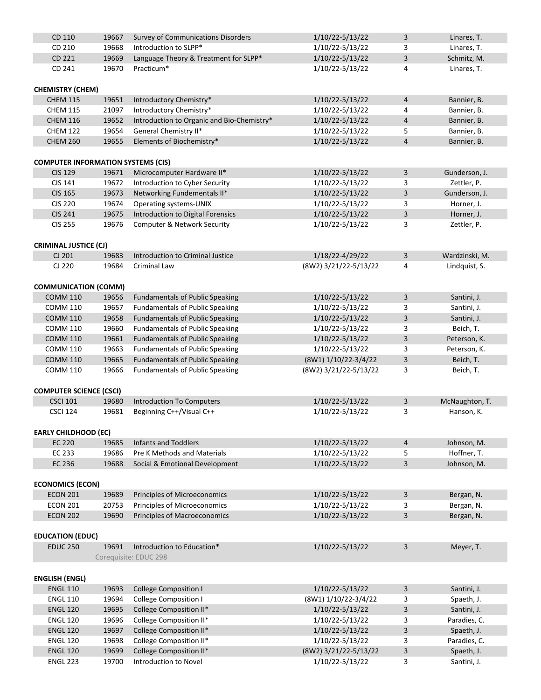| CD 110                                    | 19667 | Survey of Communications Disorders         | 1/10/22-5/13/22       | 3              | Linares, T.    |
|-------------------------------------------|-------|--------------------------------------------|-----------------------|----------------|----------------|
| CD 210                                    | 19668 | Introduction to SLPP*                      | 1/10/22-5/13/22       | 3              | Linares, T.    |
| CD 221                                    | 19669 | Language Theory & Treatment for SLPP*      | 1/10/22-5/13/22       | 3              | Schmitz, M.    |
| CD 241                                    | 19670 | Practicum*                                 | 1/10/22-5/13/22       | 4              | Linares, T.    |
|                                           |       |                                            |                       |                |                |
| <b>CHEMISTRY (CHEM)</b>                   |       |                                            |                       |                |                |
| <b>CHEM 115</b>                           | 19651 | Introductory Chemistry*                    | 1/10/22-5/13/22       | $\overline{4}$ | Bannier, B.    |
| <b>CHEM 115</b>                           | 21097 | Introductory Chemistry*                    | 1/10/22-5/13/22       | 4              | Bannier, B.    |
| <b>CHEM 116</b>                           | 19652 | Introduction to Organic and Bio-Chemistry* | 1/10/22-5/13/22       | $\overline{4}$ | Bannier, B.    |
| <b>CHEM 122</b>                           | 19654 | General Chemistry II*                      | 1/10/22-5/13/22       | 5              | Bannier, B.    |
| <b>CHEM 260</b>                           | 19655 | Elements of Biochemistry*                  | 1/10/22-5/13/22       | $\overline{4}$ | Bannier, B.    |
|                                           |       |                                            |                       |                |                |
| <b>COMPUTER INFORMATION SYSTEMS (CIS)</b> |       |                                            |                       |                |                |
| <b>CIS 129</b>                            | 19671 | Microcomputer Hardware II*                 | 1/10/22-5/13/22       | $\mathbf{3}$   | Gunderson, J.  |
| CIS 141                                   | 19672 | Introduction to Cyber Security             | 1/10/22-5/13/22       | 3              | Zettler, P.    |
| <b>CIS 165</b>                            | 19673 | Networking Fundementals II*                | 1/10/22-5/13/22       | 3              | Gunderson, J.  |
| <b>CIS 220</b>                            | 19674 | Operating systems-UNIX                     | 1/10/22-5/13/22       | 3              | Horner, J.     |
| <b>CIS 241</b>                            | 19675 | Introduction to Digital Forensics          | 1/10/22-5/13/22       | 3              | Horner, J.     |
| <b>CIS 255</b>                            | 19676 | Computer & Network Security                | 1/10/22-5/13/22       | 3              | Zettler, P.    |
|                                           |       |                                            |                       |                |                |
| <b>CRIMINAL JUSTICE (CJ)</b>              |       |                                            |                       |                |                |
| CJ 201                                    | 19683 | Introduction to Criminal Justice           | 1/18/22-4/29/22       | $\mathbf{3}$   | Wardzinski, M. |
| CJ 220                                    | 19684 | <b>Criminal Law</b>                        | (8W2) 3/21/22-5/13/22 | 4              | Lindquist, S.  |
|                                           |       |                                            |                       |                |                |
| <b>COMMUNICATION (COMM)</b>               |       |                                            |                       |                |                |
| <b>COMM 110</b>                           | 19656 | <b>Fundamentals of Public Speaking</b>     | 1/10/22-5/13/22       | 3              | Santini, J.    |
| <b>COMM 110</b>                           | 19657 |                                            | 1/10/22-5/13/22       | 3              |                |
|                                           |       | <b>Fundamentals of Public Speaking</b>     |                       |                | Santini, J.    |
| <b>COMM 110</b>                           | 19658 | <b>Fundamentals of Public Speaking</b>     | 1/10/22-5/13/22       | 3              | Santini, J.    |
| <b>COMM 110</b>                           | 19660 | <b>Fundamentals of Public Speaking</b>     | 1/10/22-5/13/22       | 3              | Beich, T.      |
| <b>COMM 110</b>                           | 19661 | <b>Fundamentals of Public Speaking</b>     | 1/10/22-5/13/22       | 3              | Peterson, K.   |
| <b>COMM 110</b>                           | 19663 | <b>Fundamentals of Public Speaking</b>     | 1/10/22-5/13/22       | 3              | Peterson, K.   |
| <b>COMM 110</b>                           | 19665 | <b>Fundamentals of Public Speaking</b>     | (8W1) 1/10/22-3/4/22  | $\mathsf{3}$   | Beich, T.      |
| <b>COMM 110</b>                           | 19666 | <b>Fundamentals of Public Speaking</b>     | (8W2) 3/21/22-5/13/22 | 3              | Beich, T.      |
|                                           |       |                                            |                       |                |                |
| <b>COMPUTER SCIENCE (CSCI)</b>            |       |                                            |                       |                |                |
| <b>CSCI 101</b>                           | 19680 | <b>Introduction To Computers</b>           | 1/10/22-5/13/22       | 3              | McNaughton, T. |
| <b>CSCI 124</b>                           | 19681 | Beginning C++/Visual C++                   | 1/10/22-5/13/22       | 3              | Hanson, K.     |
|                                           |       |                                            |                       |                |                |
| <b>EARLY CHILDHOOD (EC)</b>               |       |                                            |                       |                |                |
| <b>EC 220</b>                             | 19685 | <b>Infants and Toddlers</b>                | 1/10/22-5/13/22       | $\overline{4}$ | Johnson, M.    |
| EC 233                                    | 19686 | <b>Pre K Methods and Materials</b>         | 1/10/22-5/13/22       | 5              | Hoffner, T.    |
| EC 236                                    | 19688 | Social & Emotional Development             | 1/10/22-5/13/22       | 3              | Johnson, M.    |
|                                           |       |                                            |                       |                |                |
| <b>ECONOMICS (ECON)</b>                   |       |                                            |                       |                |                |
| <b>ECON 201</b>                           | 19689 | Principles of Microeconomics               | 1/10/22-5/13/22       | 3              | Bergan, N.     |
| <b>ECON 201</b>                           | 20753 | Principles of Microeconomics               | 1/10/22-5/13/22       | 3              | Bergan, N.     |
| <b>ECON 202</b>                           | 19690 | Principles of Macroeconomics               | 1/10/22-5/13/22       | $\mathsf{3}$   | Bergan, N.     |
|                                           |       |                                            |                       |                |                |
| <b>EDUCATION (EDUC)</b>                   |       |                                            |                       |                |                |
| <b>EDUC 250</b>                           | 19691 | Introduction to Education*                 | 1/10/22-5/13/22       | 3              | Meyer, T.      |
|                                           |       | Corequisite: EDUC 298                      |                       |                |                |
|                                           |       |                                            |                       |                |                |
| <b>ENGLISH (ENGL)</b>                     |       |                                            |                       |                |                |
| <b>ENGL 110</b>                           | 19693 | <b>College Composition I</b>               | 1/10/22-5/13/22       | $\mathsf{3}$   | Santini, J.    |
| <b>ENGL 110</b>                           | 19694 | <b>College Composition I</b>               | (8W1) 1/10/22-3/4/22  | 3              | Spaeth, J.     |
| <b>ENGL 120</b>                           | 19695 | College Composition II*                    | 1/10/22-5/13/22       | 3              | Santini, J.    |
| <b>ENGL 120</b>                           | 19696 | College Composition II*                    | 1/10/22-5/13/22       | 3              | Paradies, C.   |
| <b>ENGL 120</b>                           | 19697 | College Composition II*                    | 1/10/22-5/13/22       | 3              | Spaeth, J.     |
| <b>ENGL 120</b>                           | 19698 | College Composition II*                    | 1/10/22-5/13/22       | 3              | Paradies, C.   |
| <b>ENGL 120</b>                           | 19699 | College Composition II*                    | (8W2) 3/21/22-5/13/22 | 3              | Spaeth, J.     |
| <b>ENGL 223</b>                           | 19700 | Introduction to Novel                      | 1/10/22-5/13/22       | 3              | Santini, J.    |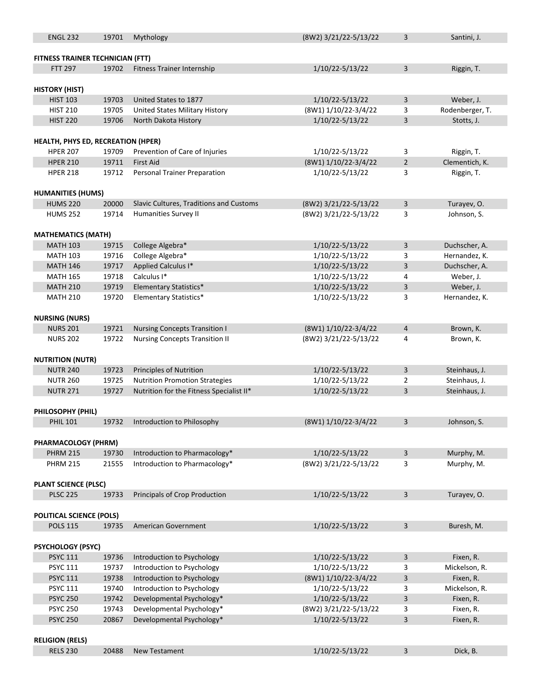| <b>ENGL 232</b>                                                               | 19701 | Mythology                                | (8W2) 3/21/22-5/13/22    | 3              | Santini, J.     |  |
|-------------------------------------------------------------------------------|-------|------------------------------------------|--------------------------|----------------|-----------------|--|
|                                                                               |       |                                          |                          |                |                 |  |
| <b>FITNESS TRAINER TECHNICIAN (FTT)</b>                                       |       |                                          |                          |                |                 |  |
| <b>FTT 297</b>                                                                | 19702 | <b>Fitness Trainer Internship</b>        | 1/10/22-5/13/22          | 3              | Riggin, T.      |  |
|                                                                               |       |                                          |                          |                |                 |  |
| <b>HISTORY (HIST)</b>                                                         |       |                                          |                          |                |                 |  |
| <b>HIST 103</b>                                                               | 19703 | United States to 1877                    | 1/10/22-5/13/22          | 3              | Weber, J.       |  |
| <b>HIST 210</b>                                                               | 19705 | United States Military History           | (8W1) 1/10/22-3/4/22     | 3              | Rodenberger, T. |  |
| <b>HIST 220</b>                                                               | 19706 | North Dakota History                     | 1/10/22-5/13/22          | 3              | Stotts, J.      |  |
|                                                                               |       |                                          |                          |                |                 |  |
| HEALTH, PHYS ED, RECREATION (HPER)                                            |       |                                          |                          |                |                 |  |
| <b>HPER 207</b>                                                               | 19709 | Prevention of Care of Injuries           | 1/10/22-5/13/22          | 3              | Riggin, T.      |  |
| <b>HPER 210</b>                                                               | 19711 | <b>First Aid</b>                         | (8W1) 1/10/22-3/4/22     | $\overline{2}$ | Clementich, K.  |  |
| <b>HPER 218</b>                                                               | 19712 | Personal Trainer Preparation             | 1/10/22-5/13/22          | 3              | Riggin, T.      |  |
|                                                                               |       |                                          |                          |                |                 |  |
| <b>HUMANITIES (HUMS)</b>                                                      |       |                                          |                          |                |                 |  |
| <b>HUMS 220</b>                                                               | 20000 | Slavic Cultures, Traditions and Customs  | (8W2) 3/21/22-5/13/22    | 3              | Turayev, O.     |  |
| <b>HUMS 252</b>                                                               | 19714 | <b>Humanities Survey II</b>              | (8W2) 3/21/22-5/13/22    | 3              | Johnson, S.     |  |
|                                                                               |       |                                          |                          |                |                 |  |
| <b>MATHEMATICS (MATH)</b>                                                     |       |                                          |                          |                |                 |  |
| <b>MATH 103</b>                                                               | 19715 | College Algebra*                         | 1/10/22-5/13/22          | 3              | Duchscher, A.   |  |
| <b>MATH 103</b>                                                               | 19716 | College Algebra*                         | 1/10/22-5/13/22          | 3              | Hernandez, K.   |  |
| <b>MATH 146</b>                                                               | 19717 | Applied Calculus I*                      | 1/10/22-5/13/22          | 3              | Duchscher, A.   |  |
| <b>MATH 165</b>                                                               | 19718 | Calculus I*                              | 1/10/22-5/13/22          | 4              | Weber, J.       |  |
| <b>MATH 210</b>                                                               | 19719 | <b>Elementary Statistics*</b>            | 1/10/22-5/13/22          | 3              | Weber, J.       |  |
| <b>MATH 210</b>                                                               | 19720 | Elementary Statistics*                   | 1/10/22-5/13/22          | 3              | Hernandez, K.   |  |
|                                                                               |       |                                          |                          |                |                 |  |
| <b>NURSING (NURS)</b>                                                         |       |                                          |                          |                |                 |  |
| <b>NURS 201</b>                                                               | 19721 | <b>Nursing Concepts Transition I</b>     | (8W1) 1/10/22-3/4/22     | 4              | Brown, K.       |  |
| <b>NURS 202</b>                                                               | 19722 | <b>Nursing Concepts Transition II</b>    | (8W2) 3/21/22-5/13/22    | 4              | Brown, K.       |  |
|                                                                               |       |                                          |                          |                |                 |  |
| <b>NUTRITION (NUTR)</b>                                                       |       |                                          |                          |                |                 |  |
| <b>NUTR 240</b>                                                               | 19723 | <b>Principles of Nutrition</b>           | 1/10/22-5/13/22          | 3              | Steinhaus, J.   |  |
| <b>NUTR 260</b>                                                               | 19725 | <b>Nutrition Promotion Strategies</b>    | 1/10/22-5/13/22          | 2              | Steinhaus, J.   |  |
| <b>NUTR 271</b>                                                               | 19727 | Nutrition for the Fitness Specialist II* | 1/10/22-5/13/22          | 3              | Steinhaus, J.   |  |
|                                                                               |       |                                          |                          |                |                 |  |
| PHILOSOPHY (PHIL)                                                             |       |                                          |                          |                |                 |  |
| <b>PHIL 101</b>                                                               | 19732 | Introduction to Philosophy               | $(8W1)$ $1/10/22-3/4/22$ | 3              | Johnson, S.     |  |
|                                                                               |       |                                          |                          |                |                 |  |
| PHARMACOLOGY (PHRM)<br><b>PHRM 215</b>                                        | 19730 | Introduction to Pharmacology*            | 1/10/22-5/13/22          | 3              | Murphy, M.      |  |
|                                                                               |       |                                          |                          |                |                 |  |
| <b>PHRM 215</b>                                                               | 21555 | Introduction to Pharmacology*            | (8W2) 3/21/22-5/13/22    | 3              | Murphy, M.      |  |
|                                                                               |       |                                          |                          |                |                 |  |
| <b>PLANT SCIENCE (PLSC)</b><br><b>PLSC 225</b>                                | 19733 | Principals of Crop Production            | 1/10/22-5/13/22          | 3              | Turayev, O.     |  |
|                                                                               |       |                                          |                          |                |                 |  |
| <b>POLITICAL SCIENCE (POLS)</b>                                               |       |                                          |                          |                |                 |  |
| <b>POLS 115</b>                                                               | 19735 | American Government                      | 1/10/22-5/13/22          | 3              | Buresh, M.      |  |
|                                                                               |       |                                          |                          |                |                 |  |
| <b>PSYCHOLOGY (PSYC)</b>                                                      |       |                                          |                          |                |                 |  |
| <b>PSYC 111</b>                                                               | 19736 | Introduction to Psychology               | 1/10/22-5/13/22          | 3              | Fixen, R.       |  |
| <b>PSYC 111</b>                                                               | 19737 | Introduction to Psychology               | 1/10/22-5/13/22          | 3              | Mickelson, R.   |  |
| <b>PSYC 111</b>                                                               | 19738 | Introduction to Psychology               | (8W1) 1/10/22-3/4/22     | 3              | Fixen, R.       |  |
| <b>PSYC 111</b>                                                               | 19740 | Introduction to Psychology               | 1/10/22-5/13/22          | 3              | Mickelson, R.   |  |
| <b>PSYC 250</b>                                                               | 19742 | Developmental Psychology*                | 1/10/22-5/13/22          | 3              | Fixen, R.       |  |
| <b>PSYC 250</b>                                                               | 19743 | Developmental Psychology*                | (8W2) 3/21/22-5/13/22    | 3              | Fixen, R.       |  |
| <b>PSYC 250</b>                                                               | 20867 | Developmental Psychology*                | 1/10/22-5/13/22          | 3              | Fixen, R.       |  |
|                                                                               |       |                                          |                          |                |                 |  |
| <b>RELIGION (RELS)</b>                                                        |       |                                          |                          |                |                 |  |
| <b>RELS 230</b><br>20488<br>New Testament<br>1/10/22-5/13/22<br>3<br>Dick, B. |       |                                          |                          |                |                 |  |
|                                                                               |       |                                          |                          |                |                 |  |